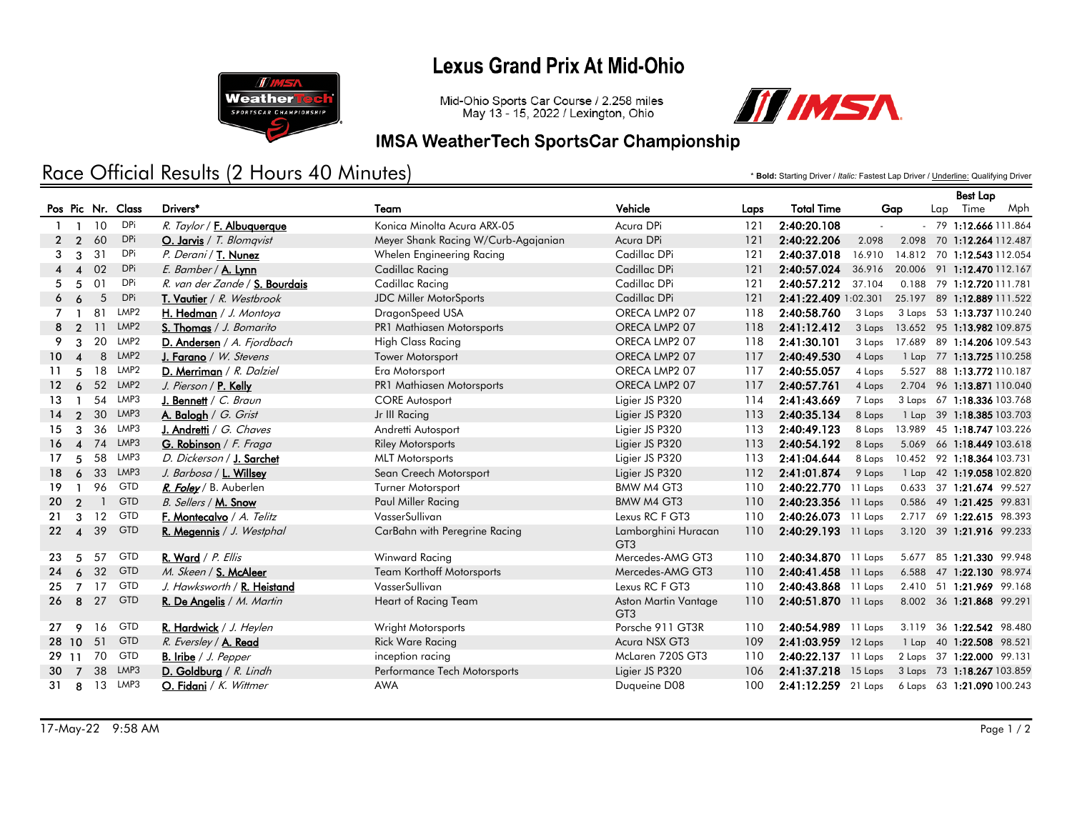# **Lexus Grand Prix At Mid-Ohio**



Mid-Ohio Sports Car Course / 2.258 miles May 13 - 15, 2022 / Lexington, Ohio



#### **IMSA WeatherTech SportsCar Championship**

# Race Official Results (2 Hours 40 Minutes)

\* **Bold:** Starting Driver / *Italic:* Fastest Lap Driver / Underline: Qualifying Driver

|                 |                        |    |                   |                                      |                                     |                                         |      |                       |        |       | <b>Best Lap</b> |                            |     |
|-----------------|------------------------|----|-------------------|--------------------------------------|-------------------------------------|-----------------------------------------|------|-----------------------|--------|-------|-----------------|----------------------------|-----|
|                 |                        |    | Pos Pic Nr. Class | Drivers*                             | Team                                | Vehicle                                 | Laps | <b>Total Time</b>     | Gap    |       |                 | Lap Time                   | Mph |
|                 | $1 \quad 1$            | 10 | DPi               | R. Taylor / F. Albuquerque           | Konica Minolta Acura ARX-05         | Acura DPi                               | 121  | 2:40:20.108           |        |       |                 | $-79$ 1:12.666 111.864     |     |
|                 | 2 <sub>2</sub>         | 60 | DPi               | O. Jarvis / T. Blomqvist             | Meyer Shank Racing W/Curb-Agajanian | Acura DPi                               | 121  | 2:40:22.206           | 2.098  |       |                 | 2.098 70 1:12.264 112.487  |     |
| 3               | 3                      | 31 | DPi               | P. Derani / T. Nunez                 | Whelen Engineering Racing           | Cadillac DPi                            | 121  | 2:40:37.018           | 16.910 |       |                 | 14.812 70 1:12.543 112.054 |     |
|                 |                        | 02 | <b>DPi</b>        | E. Bamber / A. Lynn                  | Cadillac Racing                     | Cadillac DPi                            | 121  | 2:40:57.024           | 36.916 |       |                 | 20.006 91 1:12.470 112.167 |     |
| 5               | 5                      | 01 | DPi               | R. van der Zande / S. Bourdais       | Cadillac Racing                     | Cadillac DPi                            | 121  | 2:40:57.212           | 37.104 |       |                 | 0.188 79 1:12.720 111.781  |     |
| 6               | 6                      | 5  | DPi               | T. Vautier / R. Westbrook            | <b>JDC Miller MotorSports</b>       | Cadillac DPi                            | 121  | 2:41:22.409 1:02.301  |        |       |                 | 25.197 89 1:12.889 111.522 |     |
|                 |                        | 81 | LMP <sub>2</sub>  | H. Hedman / J. Montoya               | DragonSpeed USA                     | ORECA LMP2 07                           | 118  | 2:40:58.760           | 3 Laps |       |                 | 3 Laps 53 1:13.737 110.240 |     |
| 8               | $\overline{2}$         | 11 | LMP <sub>2</sub>  | S. Thomas / J. Bomarito              | PR1 Mathiasen Motorsports           | ORECA LMP2 07                           | 118  | 2:41:12.412           | 3 Laps |       |                 | 13.652 95 1:13.982 109.875 |     |
| 9               | 3                      | 20 | LMP2              | D. Andersen / A. Fjordbach           | <b>High Class Racing</b>            | ORECA LMP2 07                           | 118  | 2:41:30.101           | 3 Laps |       |                 | 17.689 89 1:14.206 109.543 |     |
| 10 <sup>°</sup> | $\boldsymbol{\Lambda}$ | 8  | LMP <sub>2</sub>  | <b>J. Farano</b> / <i>W. Stevens</i> | <b>Tower Motorsport</b>             | ORECA LMP2 07                           | 117  | 2:40:49.530           | 4 Laps |       |                 | 1 Lap 77 1:13.725 110.258  |     |
| 11              | 5                      | 18 | LMP2              | D. Merriman / R. Dalziel             | Era Motorsport                      | ORECA LMP2 07                           | 117  | 2:40:55.057           | 4 Laps |       |                 | 5.527 88 1:13.772 110.187  |     |
| 12.             | 6                      |    | 52 LMP2           | J. Pierson / P. Kelly                | PR1 Mathiasen Motorsports           | ORECA LMP2 07                           | 117  | 2:40:57.761           | 4 Laps |       |                 | 2.704 96 1:13.871 110.040  |     |
| 13.             |                        | 54 | LMP3              | J. Bennett / $C.$ Braun              | <b>CORE Autosport</b>               | Ligier JS P320                          | 114  | 2:41:43.669           | 7 Laps |       |                 | 3 Laps 67 1:18.336 103.768 |     |
| 14              | $\mathcal{P}$          | 30 | LMP3              | A. Balogh / G. Grist                 | Jr III Racing                       | Ligier JS P320                          | 113  | 2:40:35.134           | 8 Laps |       |                 | 1 Lap 39 1:18.385 103.703  |     |
| 15              | 3                      | 36 | LMP3              | J. Andretti / G. Chaves              | Andretti Autosport                  | Ligier JS P320                          | 113  | 2:40:49.123           | 8 Laps |       |                 | 13.989 45 1:18.747 103.226 |     |
| 16 <sup>1</sup> | $\boldsymbol{\Lambda}$ | 74 | LMP3              | G. Robinson / F. Fraga               | <b>Riley Motorsports</b>            | Ligier JS P320                          | 113  | 2:40:54.192           | 8 Laps |       |                 | 5.069 66 1:18.449 103.618  |     |
| 17              | 5                      | 58 | LMP3              | D. Dickerson / J. Sarchet            | <b>MLT</b> Motorsports              | Ligier JS P320                          | 113  | 2:41:04.644           | 8 Laps |       |                 | 10.452 92 1:18.364 103.731 |     |
| 18.             | 6                      | 33 | LMP3              | J. Barbosa / L. Willsey              | Sean Creech Motorsport              | Ligier JS P320                          | 112  | 2:41:01.874           | 9 Laps |       |                 | 1 Lap 42 1:19.058 102.820  |     |
| 19              |                        | 96 | <b>GTD</b>        | R. Foley / B. Auberlen               | <b>Turner Motorsport</b>            | <b>BMW M4 GT3</b>                       | 110  | 2:40:22.770 11 Laps   |        |       |                 | 0.633 37 1:21.674 99.527   |     |
| 20              | $\mathcal{P}$          |    | <b>GTD</b>        | B. Sellers / M. Snow                 | Paul Miller Racing                  | <b>BMW M4 GT3</b>                       | 110  | 2:40:23.356 11 Laps   |        |       |                 | 0.586 49 1:21.425 99.831   |     |
| 21              | 3                      | 12 | <b>GTD</b>        | F. Montecalvo / A. Telitz            | VasserSullivan                      | Lexus RC F GT3                          | 110  | 2:40:26.073 11 Laps   |        |       |                 | 2.717 69 1:22.615 98.393   |     |
| 22              | $\boldsymbol{\Lambda}$ | 39 | <b>GTD</b>        | R. Megennis / J. Westphal            | CarBahn with Peregrine Racing       | Lamborghini Huracan<br>GT <sub>3</sub>  | 110  | 2:40:29.193 11 Laps   |        |       |                 | 3.120 39 1:21.916 99.233   |     |
| 23.             | .5                     | 57 | <b>GTD</b>        | R. Ward / P. Ellis                   | Winward Racing                      | Mercedes-AMG GT3                        | 110  | 2:40:34.870 11 Laps   |        |       |                 | 5.677 85 1:21.330 99.948   |     |
| 24              | 6                      | 32 | <b>GTD</b>        | M. Skeen / S. McAleer                | <b>Team Korthoff Motorsports</b>    | Mercedes-AMG GT3                        | 110  | 2:40:41.458 11 Laps   |        |       |                 | 6.588 47 1:22.130 98.974   |     |
| 25              | $\overline{7}$         | 17 | <b>GTD</b>        | J. Hawksworth / R. Heistand          | VasserSullivan                      | Lexus RC F GT3                          | 110  | 2:40:43.868 11 Laps   |        | 2.410 |                 | 51 1:21.969 99.168         |     |
|                 | $26 \quad 8$           | 27 | <b>GTD</b>        | R. De Angelis / M. Martin            | Heart of Racing Team                | Aston Martin Vantage<br>GT <sub>3</sub> | 110  | 2:40:51.870 11 Laps   |        |       |                 | 8.002 36 1:21.868 99.291   |     |
| 27              | 9                      | 16 | <b>GTD</b>        | R. Hardwick / J. Heylen              | Wright Motorsports                  | Porsche 911 GT3R                        | 110  | 2:40:54.989 11 Laps   |        |       |                 | 3.119 36 1:22.542 98.480   |     |
|                 | 28 10                  | 51 | <b>GTD</b>        | R. Eversley / A. Read                | <b>Rick Ware Racing</b>             | Acura NSX GT3                           | 109  | 2:41:03.959 12 Laps   |        |       |                 | 1 Lap 40 1:22.508 98.521   |     |
| 29 11           |                        | 70 | <b>GTD</b>        | <b>B.</b> Iribe $/ J.$ Pepper        | inception racing                    | McLaren 720S GT3                        | 110  | 2:40:22.137 11 Laps   |        |       |                 | 2 Laps 37 1:22.000 99.131  |     |
| 30              | $\overline{7}$         | 38 | LMP3              | D. Goldburg $/R.$ Lindh              | Performance Tech Motorsports        | Ligier JS P320                          | 106  | $2:41:37.218$ 15 Laps |        |       |                 | 3 Laps 73 1:18.267 103.859 |     |
| 31              | 8                      |    | 13 LMP3           | O. Fidani / K. Wittmer               | <b>AWA</b>                          | Duqueine D08                            | 100  | 2:41:12.259 21 Laps   |        |       |                 | 6 Laps 63 1:21.090 100.243 |     |